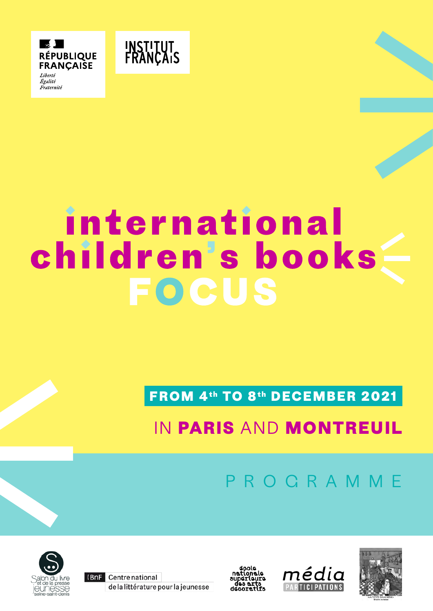



# international children's books **FOCUS**

**FROM 4th TO 8th DECEMBER 2021** 

# IN **PARIS** AND **MONTREUIL**

PROGRAMME



(BnF Centre national de la littérature pour la jeunesse





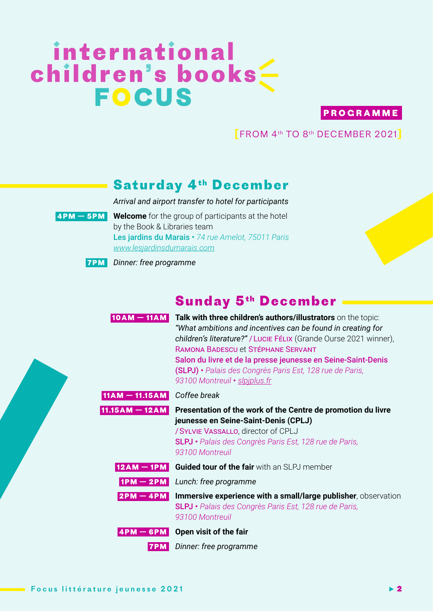# international children's books

#### **P R O G R A M M E**

**[**FROM 4th TO 8th DECEMBER 2021**]**

#### **Saturday 4<sup>th</sup> December**

*Arrival and airport transfer to hotel for participants*



**4PM — 5PM  Welcome** for the group of participants at the hotel by the Book & Libraries team Les jardins du Marais • *74 rue Amelot, 75011 Paris [www.lesjardinsdumarais.com](https://www.lesjardinsdumarais.com/)*



**7PM** *Dinner: free programme*

# **Sunday 5th December**

| $10AM - 11AM$    | Talk with three children's authors/illustrators on the topic:<br>"What ambitions and incentives can be found in creating for<br>children's literature?" / Lucie Félix (Grande Ourse 2021 winner),<br>RAMONA BADESCU et STÉPHANE SERVANT<br>Salon du livre et de la presse jeunesse en Seine-Saint-Denis<br>(SLPJ) · Palais des Congrès Paris Est, 128 rue de Paris,<br>93100 Montreuil · slpiplus.fr |
|------------------|------------------------------------------------------------------------------------------------------------------------------------------------------------------------------------------------------------------------------------------------------------------------------------------------------------------------------------------------------------------------------------------------------|
| $11AM - 11.15AM$ | Coffee break                                                                                                                                                                                                                                                                                                                                                                                         |
|                  | 11.15AM - 12AM Presentation of the work of the Centre de promotion du livre<br>jeunesse en Seine-Saint-Denis (CPLJ)<br>/ SYLVIE VASSALLO, director of CPLJ<br>SLPJ • Palais des Congrès Paris Est, 128 rue de Paris,<br>93100 Montreuil                                                                                                                                                              |
| $12AM - 1PM$     | <b>Guided tour of the fair</b> with an SLPJ member                                                                                                                                                                                                                                                                                                                                                   |
| $1PM - 2PM$      | Lunch: free programme                                                                                                                                                                                                                                                                                                                                                                                |
| $2PM - 4PM$      | Immersive experience with a small/large publisher, observation<br>SLPJ · Palais des Congrès Paris Est, 128 rue de Paris,<br>93100 Montreuil                                                                                                                                                                                                                                                          |
| $4PM - 6PM$      | Open visit of the fair                                                                                                                                                                                                                                                                                                                                                                               |
|                  | Dinner: free programme                                                                                                                                                                                                                                                                                                                                                                               |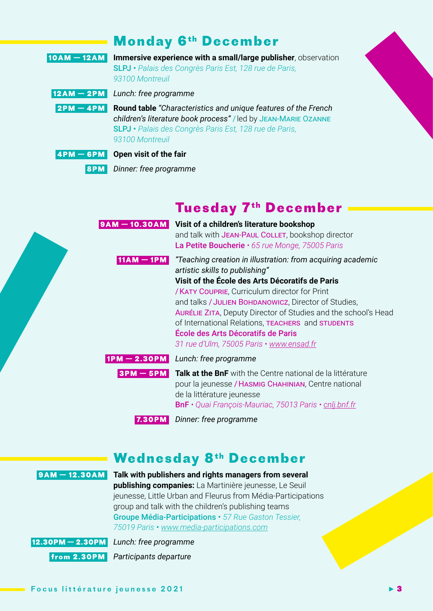### **Monday 6th December**

| $10AM - 12AM$ | Immersive experience with a small/large publisher, observation<br>SLPJ · Palais des Congrès Paris Est, 128 rue de Paris,<br>93100 Montreuil                                                                                     |
|---------------|---------------------------------------------------------------------------------------------------------------------------------------------------------------------------------------------------------------------------------|
|               | $12AM - 2PM$ Lunch: free programme                                                                                                                                                                                              |
|               | <b>2PM - 4PM Round table</b> "Characteristics and unique features of the French"<br>children's literature book process" / led by JEAN-MARIE OZANNE<br>SLPJ · Palais des Congrès Paris Est, 128 rue de Paris,<br>93100 Montreuil |
|               | $4PM - 6PM$ Open visit of the fair                                                                                                                                                                                              |

**8PM** *Dinner: free programme*

# **Tuesday 7th December**

|              | <b>9AM - 10.30AM</b> Visit of a children's literature bookshop<br>and talk with JEAN-PAUL COLLET, bookshop director<br>La Petite Boucherie $\cdot$ 65 rue Monge, 75005 Paris                                                                                                                                                                                                                                                                                              |
|--------------|---------------------------------------------------------------------------------------------------------------------------------------------------------------------------------------------------------------------------------------------------------------------------------------------------------------------------------------------------------------------------------------------------------------------------------------------------------------------------|
| $11AM - 1PM$ | "Teaching creation in illustration: from acquiring academic<br>artistic skills to publishing"<br>Visit of the École des Arts Décoratifs de Paris<br>/ KATY COUPRIE, Curriculum director for Print<br>and talks / JULIEN BOHDANOWICZ, Director of Studies,<br><b>AURÉLIE ZITA, Deputy Director of Studies and the school's Head</b><br>of International Relations, TEACHERS and STUDENTS<br>École des Arts Décoratifs de Paris<br>31 rue d'Ulm, 75005 Paris • www.ensad.fr |
|              | $1PM - 2.30PM$ Lunch: free programme                                                                                                                                                                                                                                                                                                                                                                                                                                      |
|              | <b>3PM - 5PM</b> Talk at the BnF with the Centre national de la littérature<br>pour la jeunesse / HASMIG CHAHINIAN, Centre national<br>de la littérature jeunesse<br><b>BnF</b> · Quai François-Mauriac, 75013 Paris · cnlj.bnf.fr                                                                                                                                                                                                                                        |
| 7.30PM       | Dinner: free programme                                                                                                                                                                                                                                                                                                                                                                                                                                                    |

### **Wednesday 8th December**



**12.30PM — 2.30PM** *Lunch: free programme*

**from 2.30PM** *Participants departure*